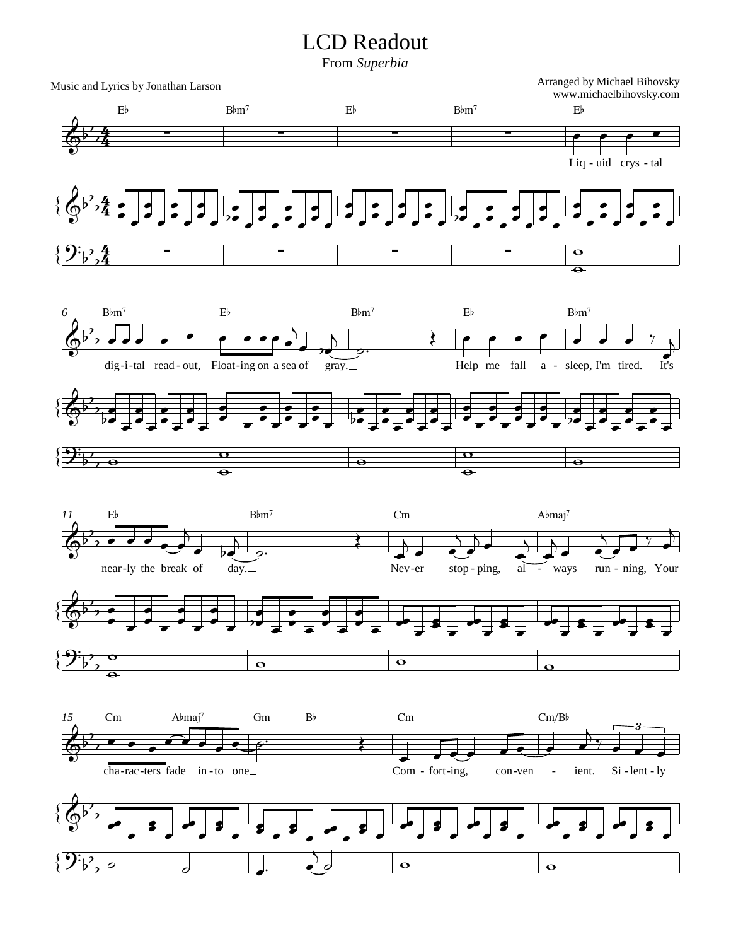## LCD Readout

From *Superbia*

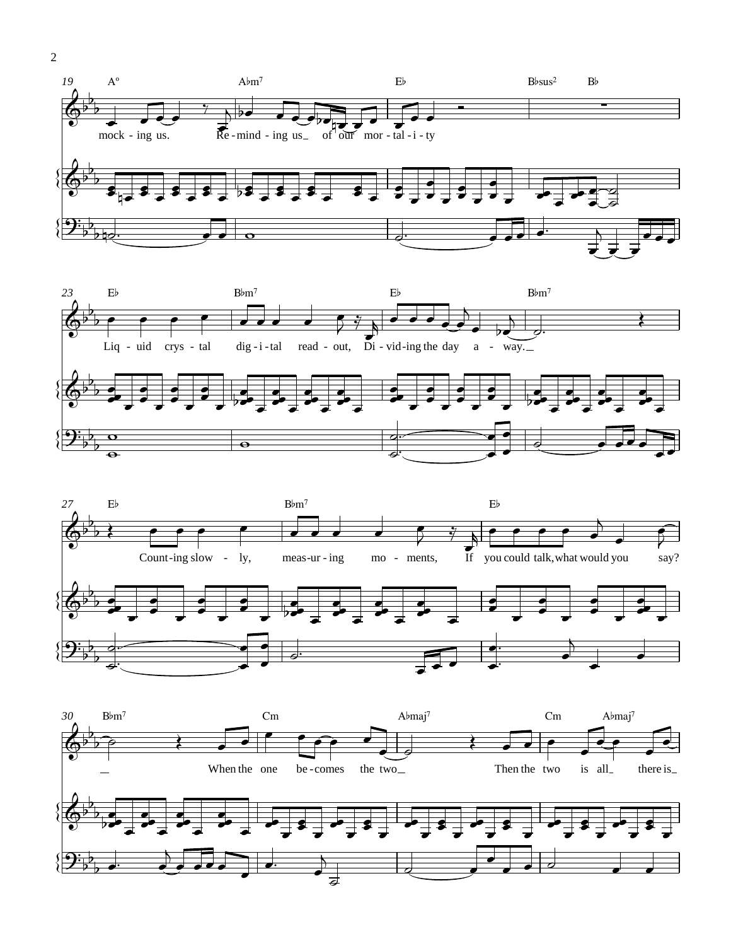





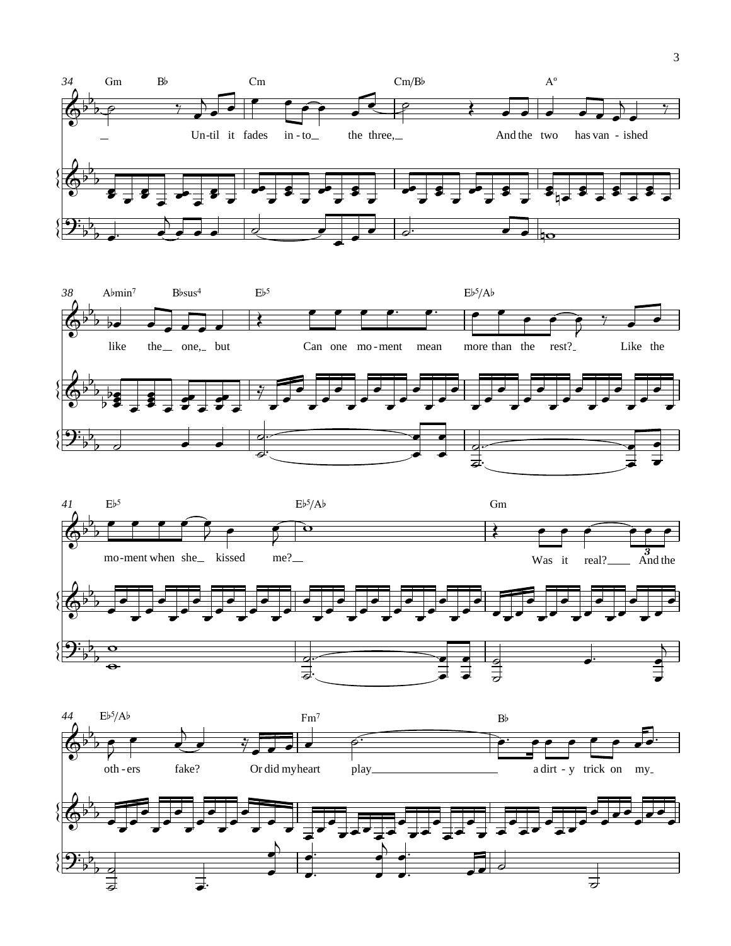

 $\mathfrak{Z}$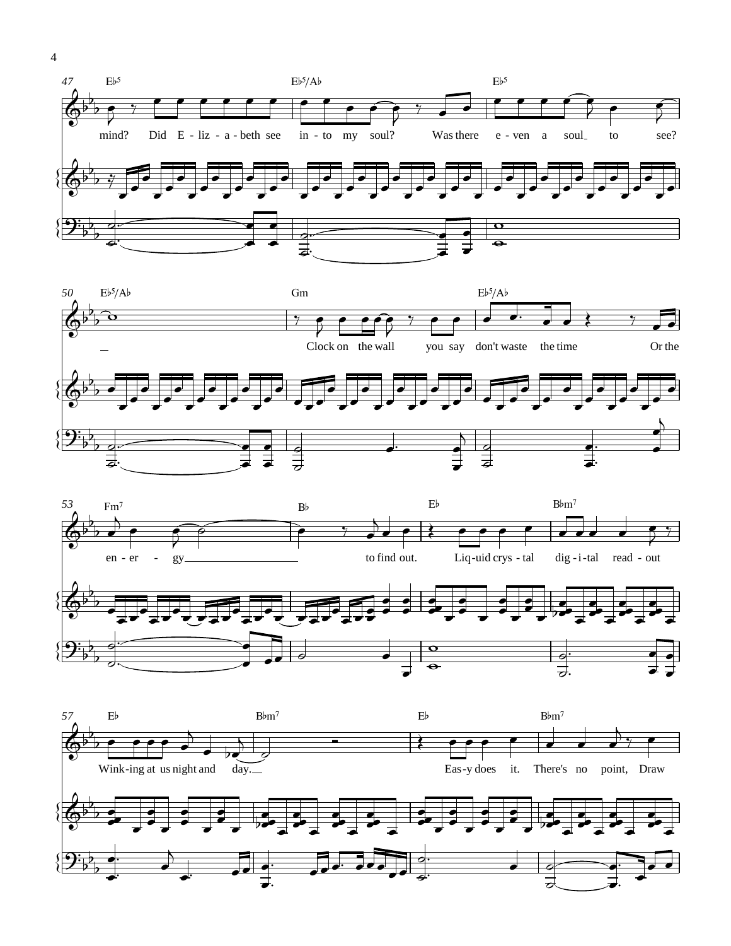







 $\overline{4}$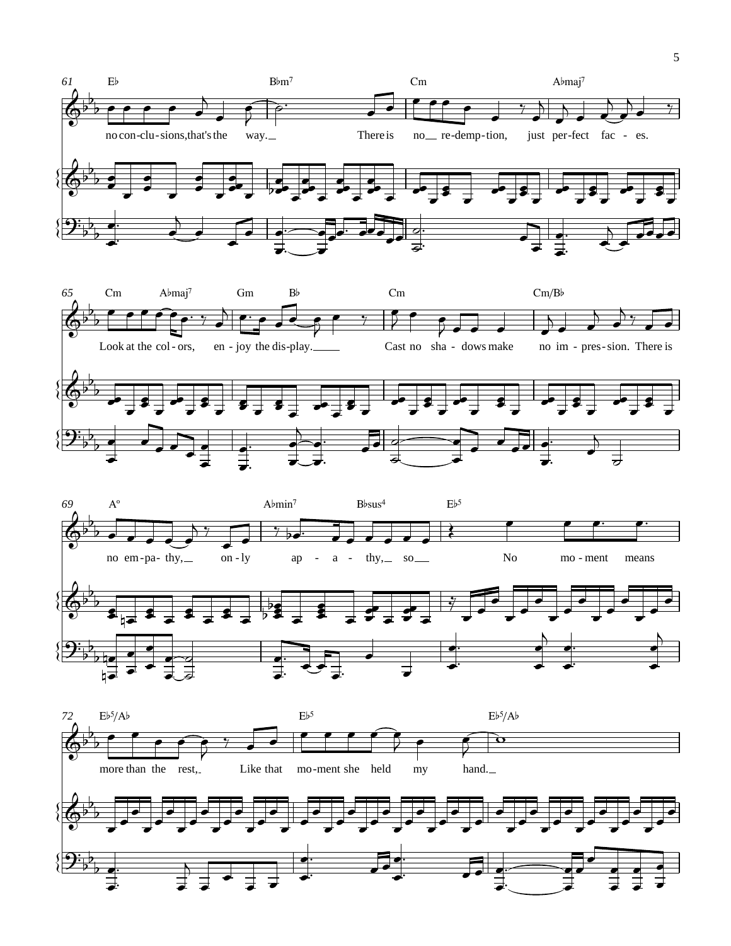





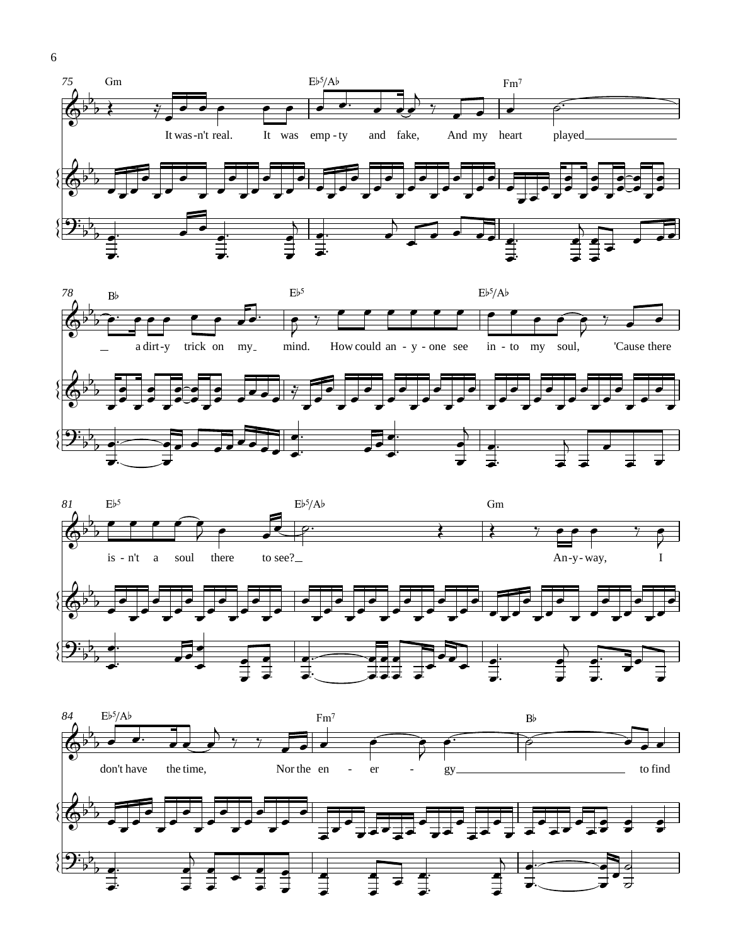





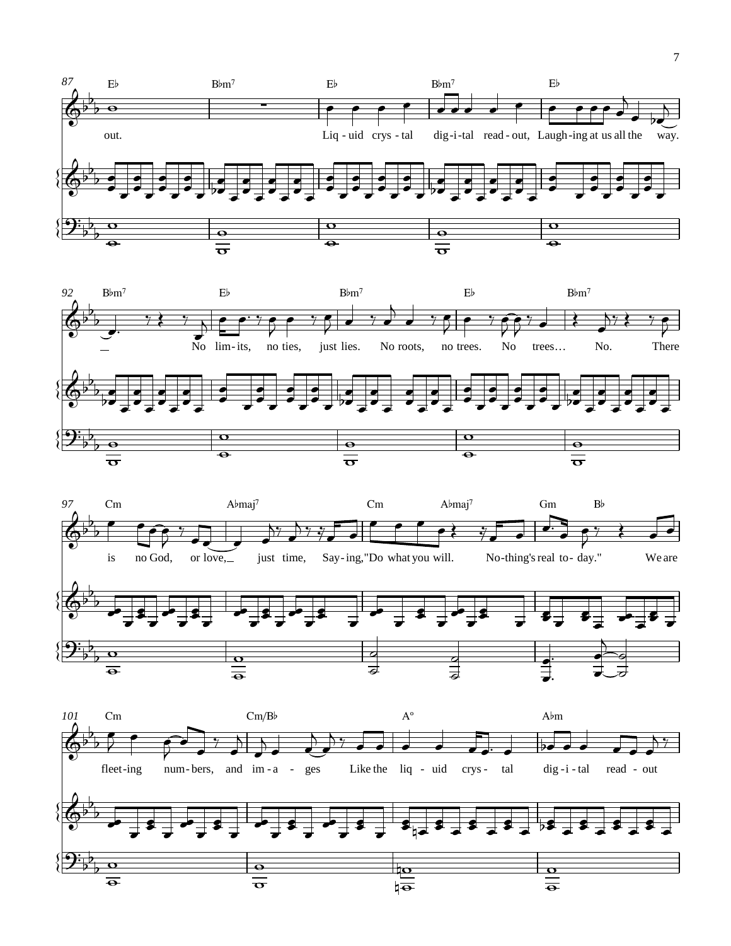